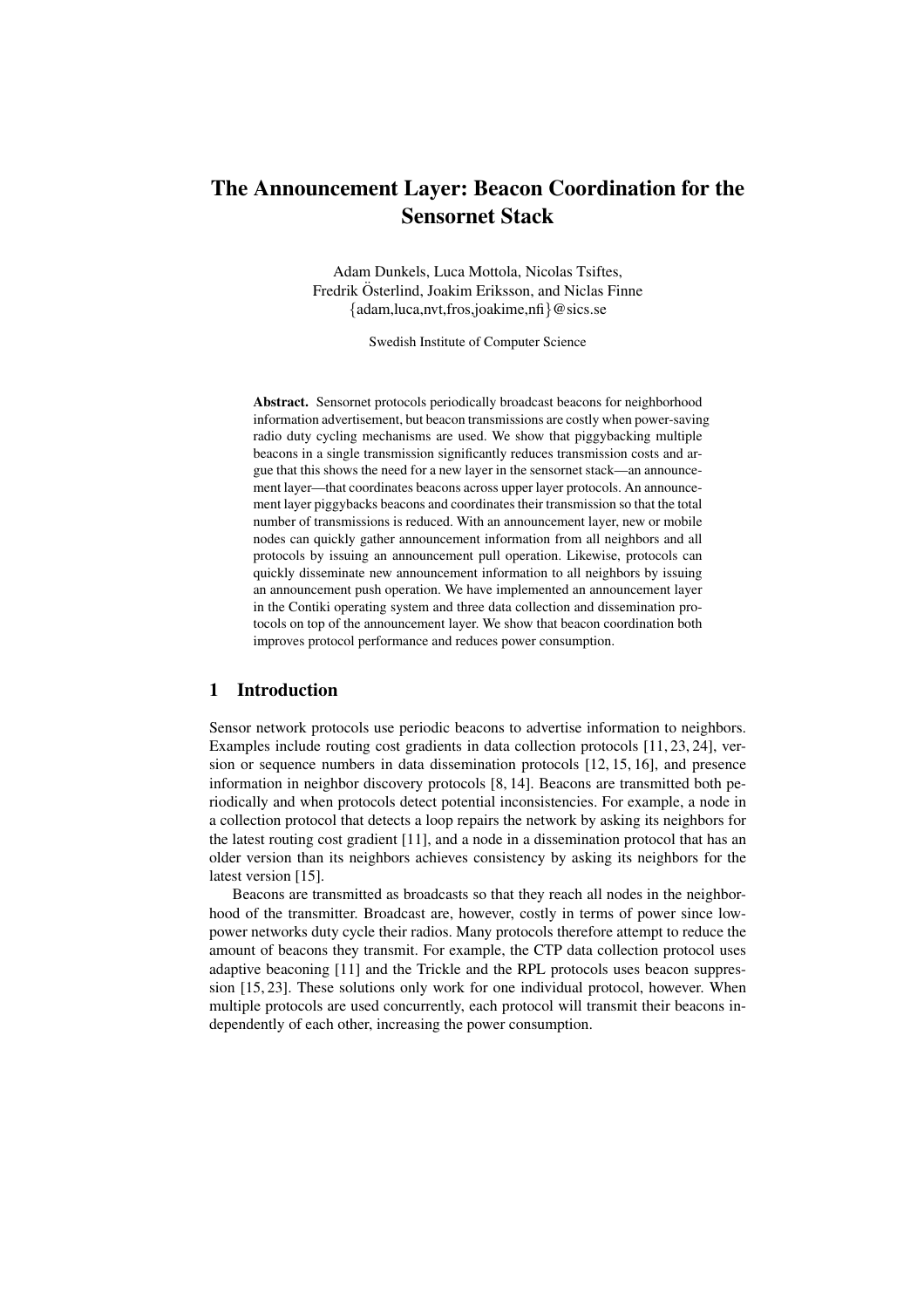# The Announcement Layer: Beacon Coordination for the Sensornet Stack

Adam Dunkels, Luca Mottola, Nicolas Tsiftes, Fredrik Österlind, Joakim Eriksson, and Niclas Finne {adam,luca,nvt,fros,joakime,nfi}@sics.se

Swedish Institute of Computer Science

Abstract. Sensornet protocols periodically broadcast beacons for neighborhood information advertisement, but beacon transmissions are costly when power-saving radio duty cycling mechanisms are used. We show that piggybacking multiple beacons in a single transmission significantly reduces transmission costs and argue that this shows the need for a new layer in the sensornet stack—an announcement layer—that coordinates beacons across upper layer protocols. An announcement layer piggybacks beacons and coordinates their transmission so that the total number of transmissions is reduced. With an announcement layer, new or mobile nodes can quickly gather announcement information from all neighbors and all protocols by issuing an announcement pull operation. Likewise, protocols can quickly disseminate new announcement information to all neighbors by issuing an announcement push operation. We have implemented an announcement layer in the Contiki operating system and three data collection and dissemination protocols on top of the announcement layer. We show that beacon coordination both improves protocol performance and reduces power consumption.

# 1 Introduction

Sensor network protocols use periodic beacons to advertise information to neighbors. Examples include routing cost gradients in data collection protocols [11, 23, 24], version or sequence numbers in data dissemination protocols [12, 15, 16], and presence information in neighbor discovery protocols [8, 14]. Beacons are transmitted both periodically and when protocols detect potential inconsistencies. For example, a node in a collection protocol that detects a loop repairs the network by asking its neighbors for the latest routing cost gradient [11], and a node in a dissemination protocol that has an older version than its neighbors achieves consistency by asking its neighbors for the latest version [15].

Beacons are transmitted as broadcasts so that they reach all nodes in the neighborhood of the transmitter. Broadcast are, however, costly in terms of power since lowpower networks duty cycle their radios. Many protocols therefore attempt to reduce the amount of beacons they transmit. For example, the CTP data collection protocol uses adaptive beaconing [11] and the Trickle and the RPL protocols uses beacon suppression [15, 23]. These solutions only work for one individual protocol, however. When multiple protocols are used concurrently, each protocol will transmit their beacons independently of each other, increasing the power consumption.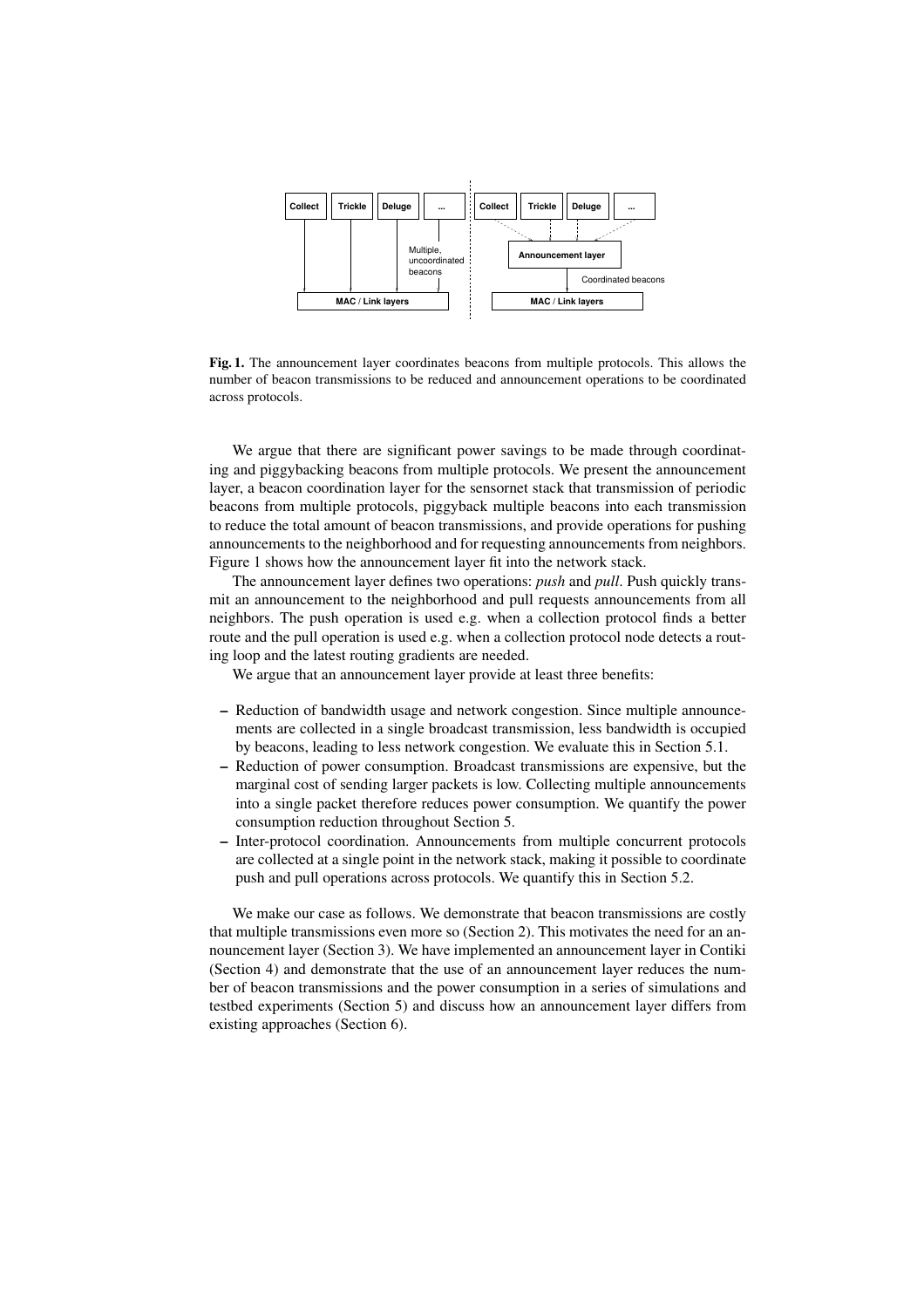

Fig. 1. The announcement layer coordinates beacons from multiple protocols. This allows the number of beacon transmissions to be reduced and announcement operations to be coordinated across protocols.

We argue that there are significant power savings to be made through coordinating and piggybacking beacons from multiple protocols. We present the announcement layer, a beacon coordination layer for the sensornet stack that transmission of periodic beacons from multiple protocols, piggyback multiple beacons into each transmission to reduce the total amount of beacon transmissions, and provide operations for pushing announcements to the neighborhood and for requesting announcements from neighbors. Figure 1 shows how the announcement layer fit into the network stack.

The announcement layer defines two operations: *push* and *pull*. Push quickly transmit an announcement to the neighborhood and pull requests announcements from all neighbors. The push operation is used e.g. when a collection protocol finds a better route and the pull operation is used e.g. when a collection protocol node detects a routing loop and the latest routing gradients are needed.

We argue that an announcement layer provide at least three benefits:

- Reduction of bandwidth usage and network congestion. Since multiple announcements are collected in a single broadcast transmission, less bandwidth is occupied by beacons, leading to less network congestion. We evaluate this in Section 5.1.
- Reduction of power consumption. Broadcast transmissions are expensive, but the marginal cost of sending larger packets is low. Collecting multiple announcements into a single packet therefore reduces power consumption. We quantify the power consumption reduction throughout Section 5.
- Inter-protocol coordination. Announcements from multiple concurrent protocols are collected at a single point in the network stack, making it possible to coordinate push and pull operations across protocols. We quantify this in Section 5.2.

We make our case as follows. We demonstrate that beacon transmissions are costly that multiple transmissions even more so (Section 2). This motivates the need for an announcement layer (Section 3). We have implemented an announcement layer in Contiki (Section 4) and demonstrate that the use of an announcement layer reduces the number of beacon transmissions and the power consumption in a series of simulations and testbed experiments (Section 5) and discuss how an announcement layer differs from existing approaches (Section 6).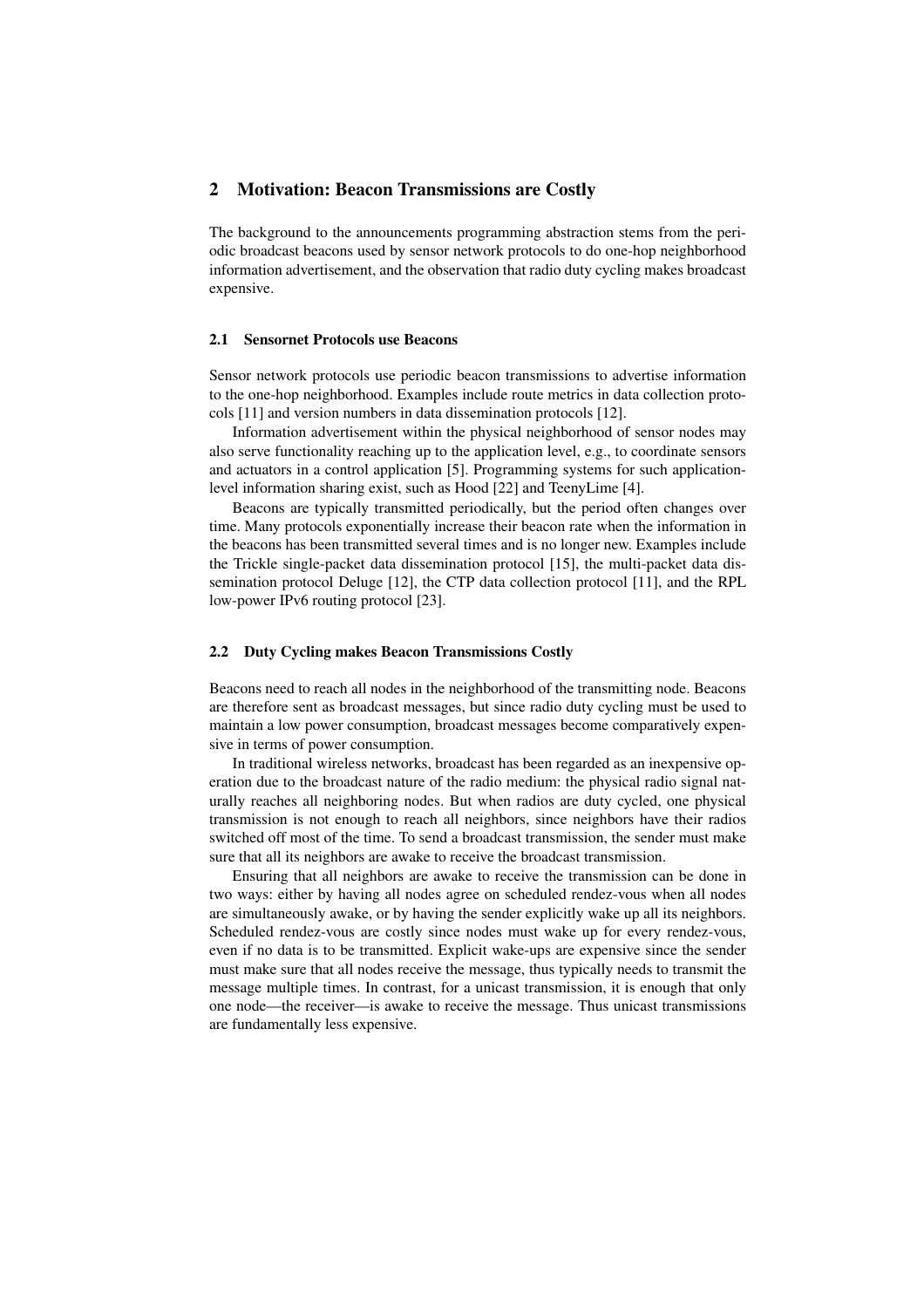## 2 Motivation: Beacon Transmissions are Costly

The background to the announcements programming abstraction stems from the periodic broadcast beacons used by sensor network protocols to do one-hop neighborhood information advertisement, and the observation that radio duty cycling makes broadcast expensive.

#### 2.1 Sensornet Protocols use Beacons

Sensor network protocols use periodic beacon transmissions to advertise information to the one-hop neighborhood. Examples include route metrics in data collection protocols [11] and version numbers in data dissemination protocols [12].

Information advertisement within the physical neighborhood of sensor nodes may also serve functionality reaching up to the application level, e.g., to coordinate sensors and actuators in a control application [5]. Programming systems for such applicationlevel information sharing exist, such as Hood [22] and TeenyLime [4].

Beacons are typically transmitted periodically, but the period often changes over time. Many protocols exponentially increase their beacon rate when the information in the beacons has been transmitted several times and is no longer new. Examples include the Trickle single-packet data dissemination protocol [15], the multi-packet data dissemination protocol Deluge [12], the CTP data collection protocol [11], and the RPL low-power IPv6 routing protocol [23].

#### 2.2 Duty Cycling makes Beacon Transmissions Costly

Beacons need to reach all nodes in the neighborhood of the transmitting node. Beacons are therefore sent as broadcast messages, but since radio duty cycling must be used to maintain a low power consumption, broadcast messages become comparatively expensive in terms of power consumption.

In traditional wireless networks, broadcast has been regarded as an inexpensive operation due to the broadcast nature of the radio medium: the physical radio signal naturally reaches all neighboring nodes. But when radios are duty cycled, one physical transmission is not enough to reach all neighbors, since neighbors have their radios switched off most of the time. To send a broadcast transmission, the sender must make sure that all its neighbors are awake to receive the broadcast transmission.

Ensuring that all neighbors are awake to receive the transmission can be done in two ways: either by having all nodes agree on scheduled rendez-vous when all nodes are simultaneously awake, or by having the sender explicitly wake up all its neighbors. Scheduled rendez-vous are costly since nodes must wake up for every rendez-vous, even if no data is to be transmitted. Explicit wake-ups are expensive since the sender must make sure that all nodes receive the message, thus typically needs to transmit the message multiple times. In contrast, for a unicast transmission, it is enough that only one node—the receiver—is awake to receive the message. Thus unicast transmissions are fundamentally less expensive.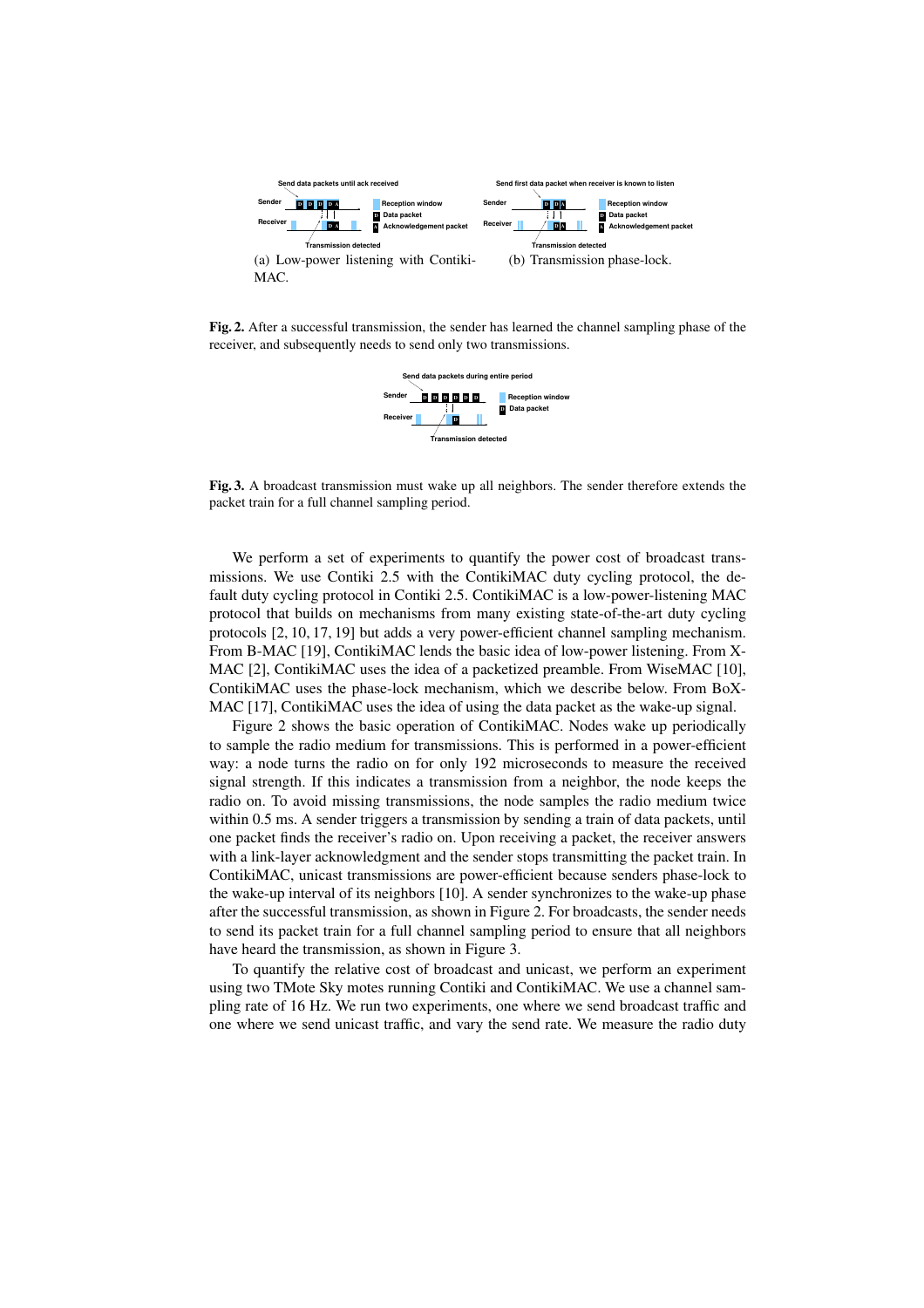

Fig. 2. After a successful transmission, the sender has learned the channel sampling phase of the receiver, and subsequently needs to send only two transmissions.



Fig. 3. A broadcast transmission must wake up all neighbors. The sender therefore extends the packet train for a full channel sampling period.

We perform a set of experiments to quantify the power cost of broadcast transmissions. We use Contiki 2.5 with the ContikiMAC duty cycling protocol, the default duty cycling protocol in Contiki 2.5. ContikiMAC is a low-power-listening MAC protocol that builds on mechanisms from many existing state-of-the-art duty cycling protocols [2, 10, 17, 19] but adds a very power-efficient channel sampling mechanism. From B-MAC [19], ContikiMAC lends the basic idea of low-power listening. From X-MAC [2], ContikiMAC uses the idea of a packetized preamble. From WiseMAC [10], ContikiMAC uses the phase-lock mechanism, which we describe below. From BoX-MAC [17], ContikiMAC uses the idea of using the data packet as the wake-up signal.

Figure 2 shows the basic operation of ContikiMAC. Nodes wake up periodically to sample the radio medium for transmissions. This is performed in a power-efficient way: a node turns the radio on for only 192 microseconds to measure the received signal strength. If this indicates a transmission from a neighbor, the node keeps the radio on. To avoid missing transmissions, the node samples the radio medium twice within 0.5 ms. A sender triggers a transmission by sending a train of data packets, until one packet finds the receiver's radio on. Upon receiving a packet, the receiver answers with a link-layer acknowledgment and the sender stops transmitting the packet train. In ContikiMAC, unicast transmissions are power-efficient because senders phase-lock to the wake-up interval of its neighbors [10]. A sender synchronizes to the wake-up phase after the successful transmission, as shown in Figure 2. For broadcasts, the sender needs to send its packet train for a full channel sampling period to ensure that all neighbors have heard the transmission, as shown in Figure 3.

To quantify the relative cost of broadcast and unicast, we perform an experiment using two TMote Sky motes running Contiki and ContikiMAC. We use a channel sampling rate of 16 Hz. We run two experiments, one where we send broadcast traffic and one where we send unicast traffic, and vary the send rate. We measure the radio duty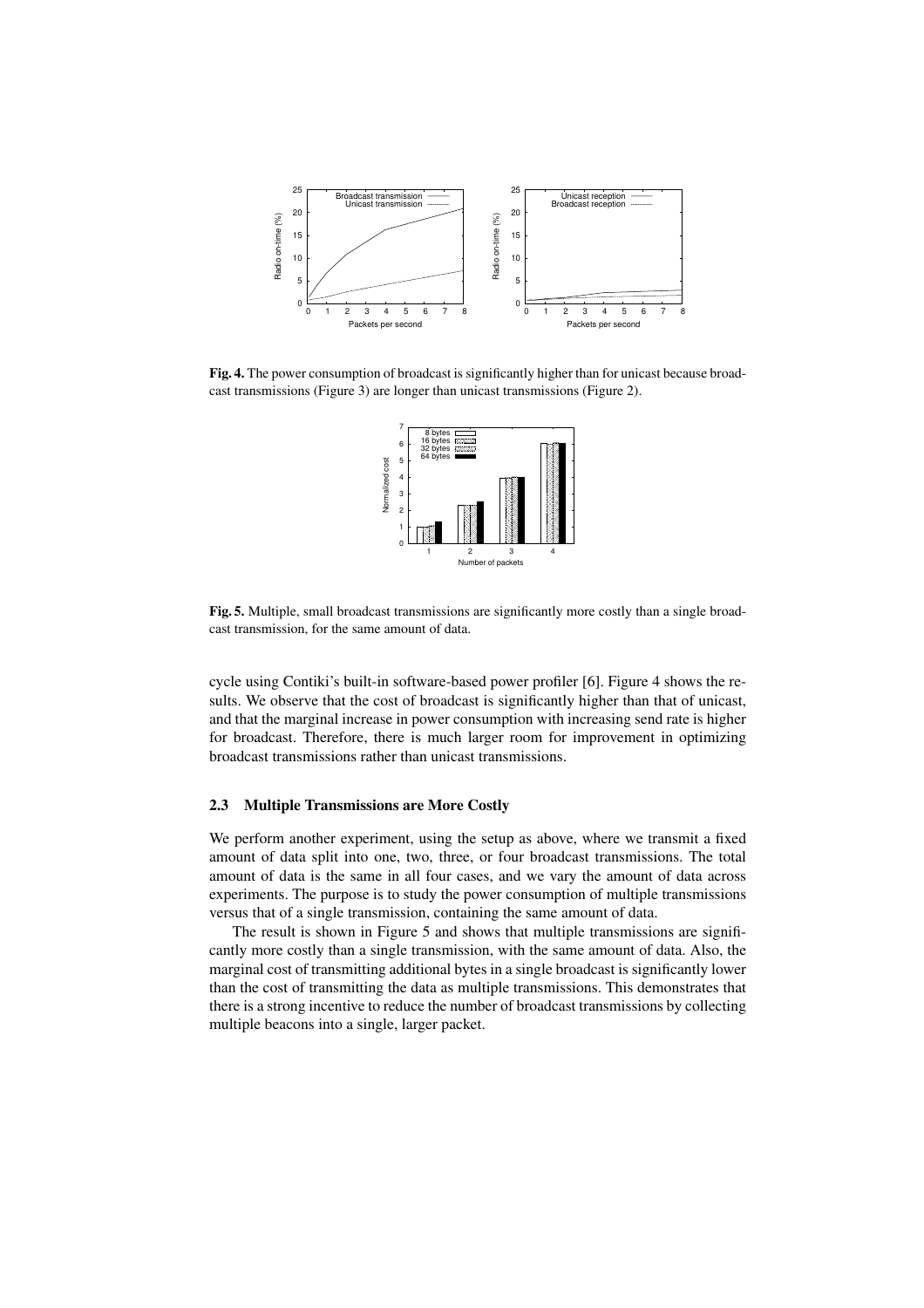

Fig. 4. The power consumption of broadcast is significantly higher than for unicast because broadcast transmissions (Figure 3) are longer than unicast transmissions (Figure 2).



Fig. 5. Multiple, small broadcast transmissions are significantly more costly than a single broadcast transmission, for the same amount of data.

cycle using Contiki's built-in software-based power profiler [6]. Figure 4 shows the results. We observe that the cost of broadcast is significantly higher than that of unicast, and that the marginal increase in power consumption with increasing send rate is higher for broadcast. Therefore, there is much larger room for improvement in optimizing broadcast transmissions rather than unicast transmissions.

## 2.3 Multiple Transmissions are More Costly

We perform another experiment, using the setup as above, where we transmit a fixed amount of data split into one, two, three, or four broadcast transmissions. The total amount of data is the same in all four cases, and we vary the amount of data across experiments. The purpose is to study the power consumption of multiple transmissions versus that of a single transmission, containing the same amount of data.

The result is shown in Figure 5 and shows that multiple transmissions are significantly more costly than a single transmission, with the same amount of data. Also, the marginal cost of transmitting additional bytes in a single broadcast is significantly lower than the cost of transmitting the data as multiple transmissions. This demonstrates that there is a strong incentive to reduce the number of broadcast transmissions by collecting multiple beacons into a single, larger packet.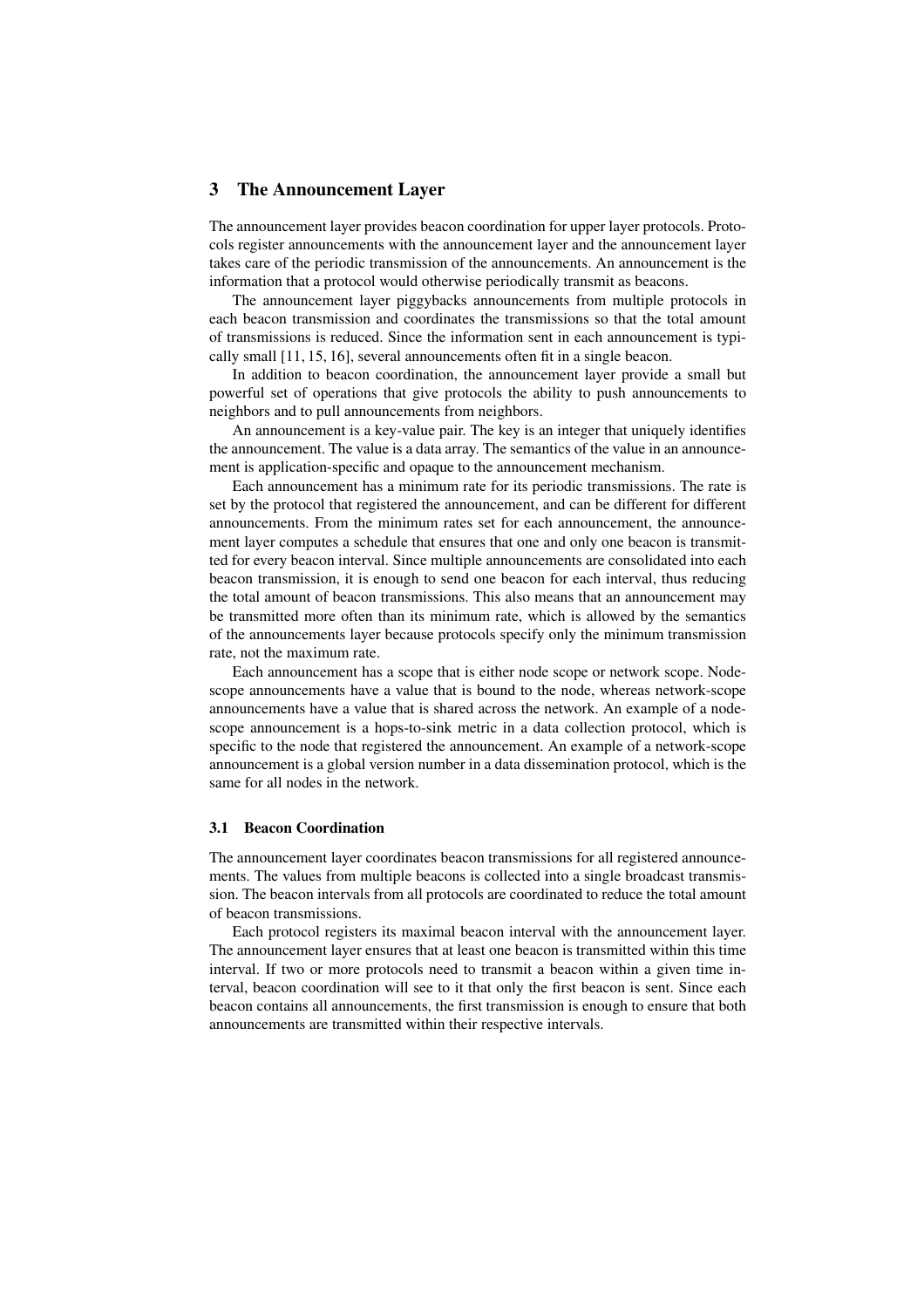## 3 The Announcement Layer

The announcement layer provides beacon coordination for upper layer protocols. Protocols register announcements with the announcement layer and the announcement layer takes care of the periodic transmission of the announcements. An announcement is the information that a protocol would otherwise periodically transmit as beacons.

The announcement layer piggybacks announcements from multiple protocols in each beacon transmission and coordinates the transmissions so that the total amount of transmissions is reduced. Since the information sent in each announcement is typically small [11, 15, 16], several announcements often fit in a single beacon.

In addition to beacon coordination, the announcement layer provide a small but powerful set of operations that give protocols the ability to push announcements to neighbors and to pull announcements from neighbors.

An announcement is a key-value pair. The key is an integer that uniquely identifies the announcement. The value is a data array. The semantics of the value in an announcement is application-specific and opaque to the announcement mechanism.

Each announcement has a minimum rate for its periodic transmissions. The rate is set by the protocol that registered the announcement, and can be different for different announcements. From the minimum rates set for each announcement, the announcement layer computes a schedule that ensures that one and only one beacon is transmitted for every beacon interval. Since multiple announcements are consolidated into each beacon transmission, it is enough to send one beacon for each interval, thus reducing the total amount of beacon transmissions. This also means that an announcement may be transmitted more often than its minimum rate, which is allowed by the semantics of the announcements layer because protocols specify only the minimum transmission rate, not the maximum rate.

Each announcement has a scope that is either node scope or network scope. Nodescope announcements have a value that is bound to the node, whereas network-scope announcements have a value that is shared across the network. An example of a nodescope announcement is a hops-to-sink metric in a data collection protocol, which is specific to the node that registered the announcement. An example of a network-scope announcement is a global version number in a data dissemination protocol, which is the same for all nodes in the network.

#### 3.1 Beacon Coordination

The announcement layer coordinates beacon transmissions for all registered announcements. The values from multiple beacons is collected into a single broadcast transmission. The beacon intervals from all protocols are coordinated to reduce the total amount of beacon transmissions.

Each protocol registers its maximal beacon interval with the announcement layer. The announcement layer ensures that at least one beacon is transmitted within this time interval. If two or more protocols need to transmit a beacon within a given time interval, beacon coordination will see to it that only the first beacon is sent. Since each beacon contains all announcements, the first transmission is enough to ensure that both announcements are transmitted within their respective intervals.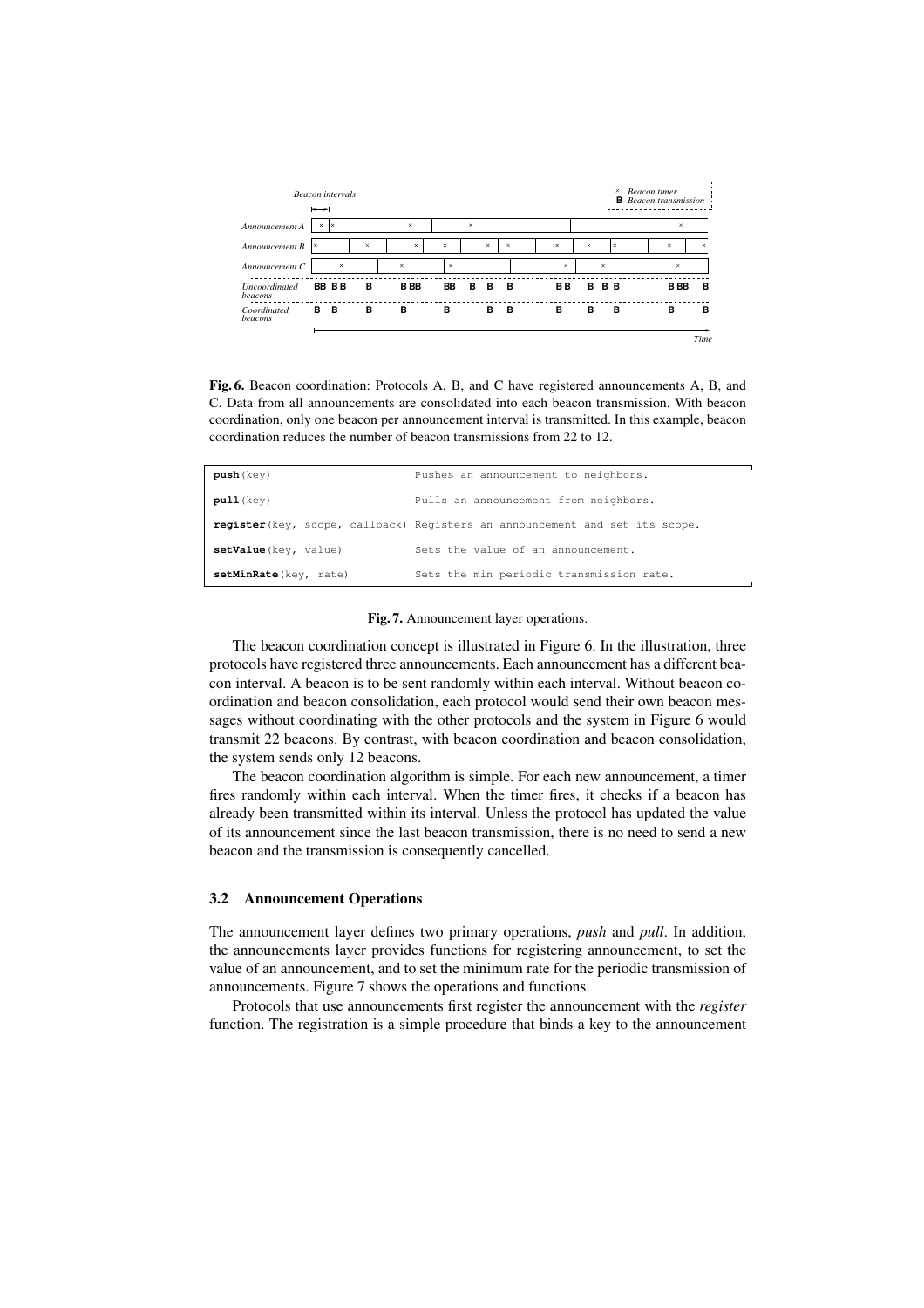|                          | ⊢                   | <b>Beacon</b> intervals |                           |                       |              |                |          |                |              |          | ×                         | <b>Beacon</b> timer<br><b>B</b> Beacon transmission |              |
|--------------------------|---------------------|-------------------------|---------------------------|-----------------------|--------------|----------------|----------|----------------|--------------|----------|---------------------------|-----------------------------------------------------|--------------|
| Announcement A           | ×                   |                         |                           | $\times$              |              | $\pmb{\times}$ |          |                |              |          |                           | $\times$                                            |              |
| Announcement B           | $\mathsf{I} \times$ |                         | $\boldsymbol{\mathsf{x}}$ | $\boldsymbol{\times}$ | $\mathbf{x}$ |                | $\times$ | $\pmb{\times}$ | $\mathbf{x}$ | $\times$ | $\boldsymbol{\mathsf{x}}$ | $\times$                                            | $\mathbf{x}$ |
| Announcement C           |                     | $\times$                |                           | $\times$              | $\mathbf{x}$ |                |          |                | $\times$     | $\times$ |                           | $\times$                                            |              |
| Uncoordinated<br>beacons |                     | BB BB                   | в                         | <b>BB</b>             | <b>BB</b>    | в              | в        | B              | <b>BB</b>    | B B B    |                           | <b>BB</b>                                           | в            |
| Coordinated<br>beacons   | B B                 |                         | в                         | в                     | в            |                | в        | B              | в            | в        | в                         | в                                                   | в            |
|                          |                     |                         |                           |                       |              |                |          |                |              |          |                           |                                                     | Time         |

Fig. 6. Beacon coordination: Protocols A, B, and C have registered announcements A, B, and C. Data from all announcements are consolidated into each beacon transmission. With beacon coordination, only one beacon per announcement interval is transmitted. In this example, beacon coordination reduces the number of beacon transmissions from 22 to 12.

| $push$ ( $key$ )      | Pushes an announcement to neighbors.                                         |
|-----------------------|------------------------------------------------------------------------------|
| $pull$ (key)          | Pulls an announcement from neighbors.                                        |
|                       | register (key, scope, callback) Registers an announcement and set its scope. |
| setValue (key, value) | Sets the value of an announcement.                                           |
| setMinRate(key, rate) | Sets the min periodic transmission rate.                                     |

#### Fig. 7. Announcement layer operations.

The beacon coordination concept is illustrated in Figure 6. In the illustration, three protocols have registered three announcements. Each announcement has a different beacon interval. A beacon is to be sent randomly within each interval. Without beacon coordination and beacon consolidation, each protocol would send their own beacon messages without coordinating with the other protocols and the system in Figure 6 would transmit 22 beacons. By contrast, with beacon coordination and beacon consolidation, the system sends only 12 beacons.

The beacon coordination algorithm is simple. For each new announcement, a timer fires randomly within each interval. When the timer fires, it checks if a beacon has already been transmitted within its interval. Unless the protocol has updated the value of its announcement since the last beacon transmission, there is no need to send a new beacon and the transmission is consequently cancelled.

#### 3.2 Announcement Operations

The announcement layer defines two primary operations, *push* and *pull*. In addition, the announcements layer provides functions for registering announcement, to set the value of an announcement, and to set the minimum rate for the periodic transmission of announcements. Figure 7 shows the operations and functions.

Protocols that use announcements first register the announcement with the *register* function. The registration is a simple procedure that binds a key to the announcement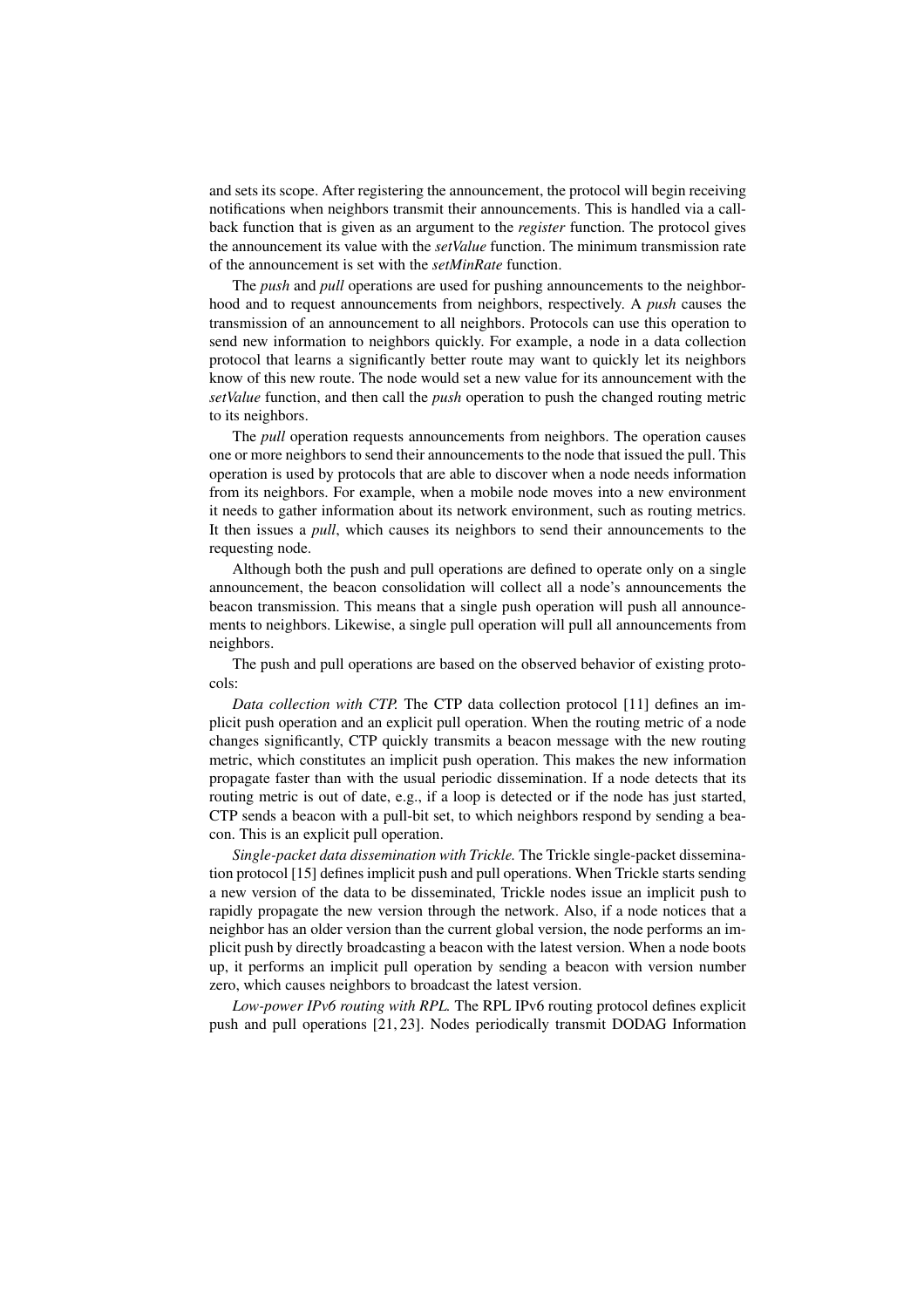and sets its scope. After registering the announcement, the protocol will begin receiving notifications when neighbors transmit their announcements. This is handled via a callback function that is given as an argument to the *register* function. The protocol gives the announcement its value with the *setValue* function. The minimum transmission rate of the announcement is set with the *setMinRate* function.

The *push* and *pull* operations are used for pushing announcements to the neighborhood and to request announcements from neighbors, respectively. A *push* causes the transmission of an announcement to all neighbors. Protocols can use this operation to send new information to neighbors quickly. For example, a node in a data collection protocol that learns a significantly better route may want to quickly let its neighbors know of this new route. The node would set a new value for its announcement with the *setValue* function, and then call the *push* operation to push the changed routing metric to its neighbors.

The *pull* operation requests announcements from neighbors. The operation causes one or more neighbors to send their announcements to the node that issued the pull. This operation is used by protocols that are able to discover when a node needs information from its neighbors. For example, when a mobile node moves into a new environment it needs to gather information about its network environment, such as routing metrics. It then issues a *pull*, which causes its neighbors to send their announcements to the requesting node.

Although both the push and pull operations are defined to operate only on a single announcement, the beacon consolidation will collect all a node's announcements the beacon transmission. This means that a single push operation will push all announcements to neighbors. Likewise, a single pull operation will pull all announcements from neighbors.

The push and pull operations are based on the observed behavior of existing protocols:

*Data collection with CTP.* The CTP data collection protocol [11] defines an implicit push operation and an explicit pull operation. When the routing metric of a node changes significantly, CTP quickly transmits a beacon message with the new routing metric, which constitutes an implicit push operation. This makes the new information propagate faster than with the usual periodic dissemination. If a node detects that its routing metric is out of date, e.g., if a loop is detected or if the node has just started, CTP sends a beacon with a pull-bit set, to which neighbors respond by sending a beacon. This is an explicit pull operation.

*Single-packet data dissemination with Trickle.* The Trickle single-packet dissemination protocol [15] defines implicit push and pull operations. When Trickle starts sending a new version of the data to be disseminated, Trickle nodes issue an implicit push to rapidly propagate the new version through the network. Also, if a node notices that a neighbor has an older version than the current global version, the node performs an implicit push by directly broadcasting a beacon with the latest version. When a node boots up, it performs an implicit pull operation by sending a beacon with version number zero, which causes neighbors to broadcast the latest version.

*Low-power IPv6 routing with RPL.* The RPL IPv6 routing protocol defines explicit push and pull operations [21, 23]. Nodes periodically transmit DODAG Information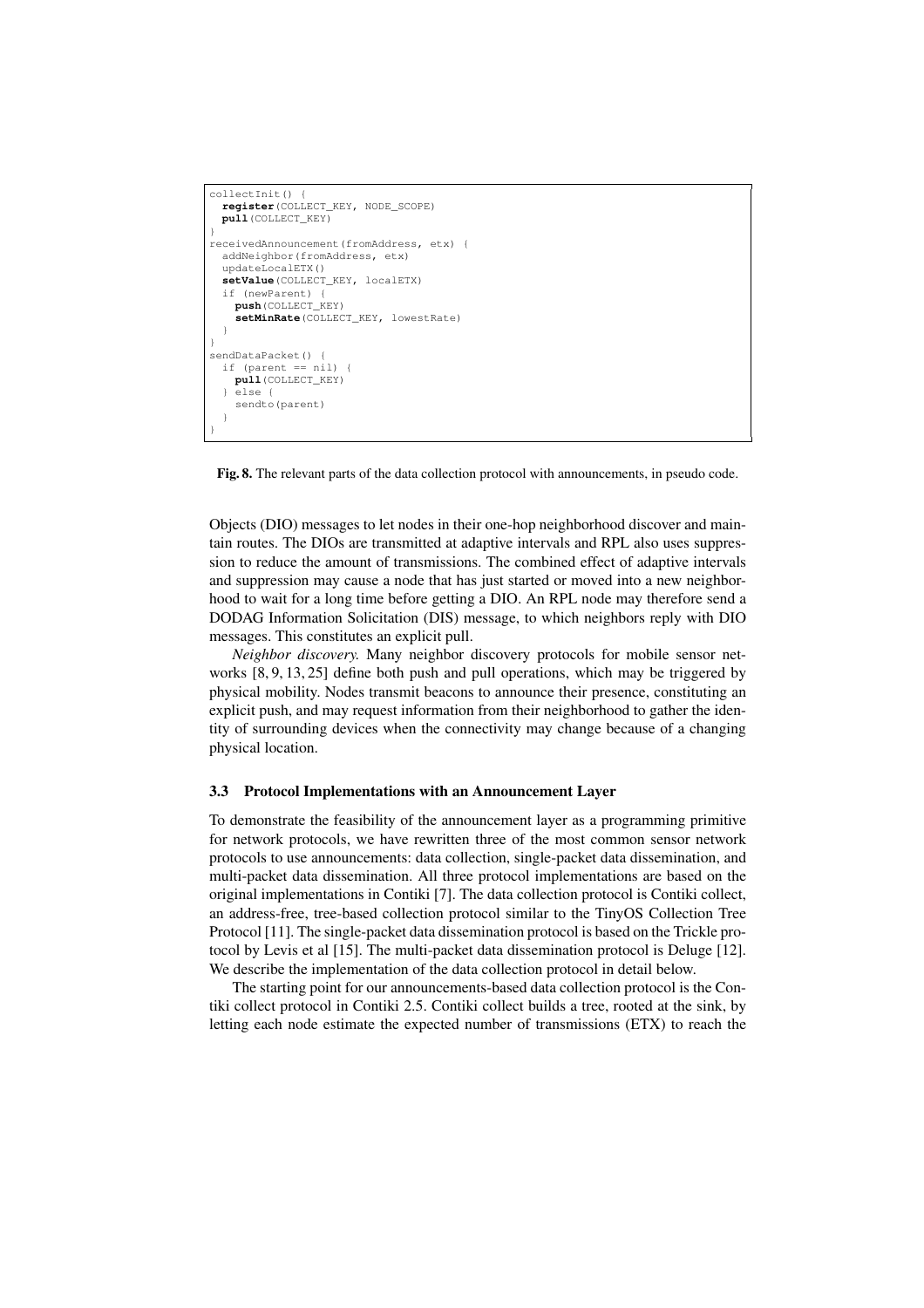```
collectInit() {
register(COLLECT_KEY, NODE_SCOPE)
 pull(COLLECT_KEY)
}
receivedAnnouncement(fromAddress, etx) {
 addNeighbor(fromAddress, etx)
 updateLocalETX\capsetValue(COLLECT_KEY, localETX)
 if (newParent) {
   push(COLLECT_KEY)
    setMinRate(COLLECT_KEY, lowestRate)
  }
}
sendDataPacket() {
 if (parent = nil)
   pull(COLLECT_KEY)
  } else {
    sendto(parent)
  }
}
```
Fig. 8. The relevant parts of the data collection protocol with announcements, in pseudo code.

Objects (DIO) messages to let nodes in their one-hop neighborhood discover and maintain routes. The DIOs are transmitted at adaptive intervals and RPL also uses suppression to reduce the amount of transmissions. The combined effect of adaptive intervals and suppression may cause a node that has just started or moved into a new neighborhood to wait for a long time before getting a DIO. An RPL node may therefore send a DODAG Information Solicitation (DIS) message, to which neighbors reply with DIO messages. This constitutes an explicit pull.

*Neighbor discovery.* Many neighbor discovery protocols for mobile sensor networks [8, 9, 13, 25] define both push and pull operations, which may be triggered by physical mobility. Nodes transmit beacons to announce their presence, constituting an explicit push, and may request information from their neighborhood to gather the identity of surrounding devices when the connectivity may change because of a changing physical location.

## 3.3 Protocol Implementations with an Announcement Layer

To demonstrate the feasibility of the announcement layer as a programming primitive for network protocols, we have rewritten three of the most common sensor network protocols to use announcements: data collection, single-packet data dissemination, and multi-packet data dissemination. All three protocol implementations are based on the original implementations in Contiki [7]. The data collection protocol is Contiki collect, an address-free, tree-based collection protocol similar to the TinyOS Collection Tree Protocol [11]. The single-packet data dissemination protocol is based on the Trickle protocol by Levis et al [15]. The multi-packet data dissemination protocol is Deluge [12]. We describe the implementation of the data collection protocol in detail below.

The starting point for our announcements-based data collection protocol is the Contiki collect protocol in Contiki 2.5. Contiki collect builds a tree, rooted at the sink, by letting each node estimate the expected number of transmissions (ETX) to reach the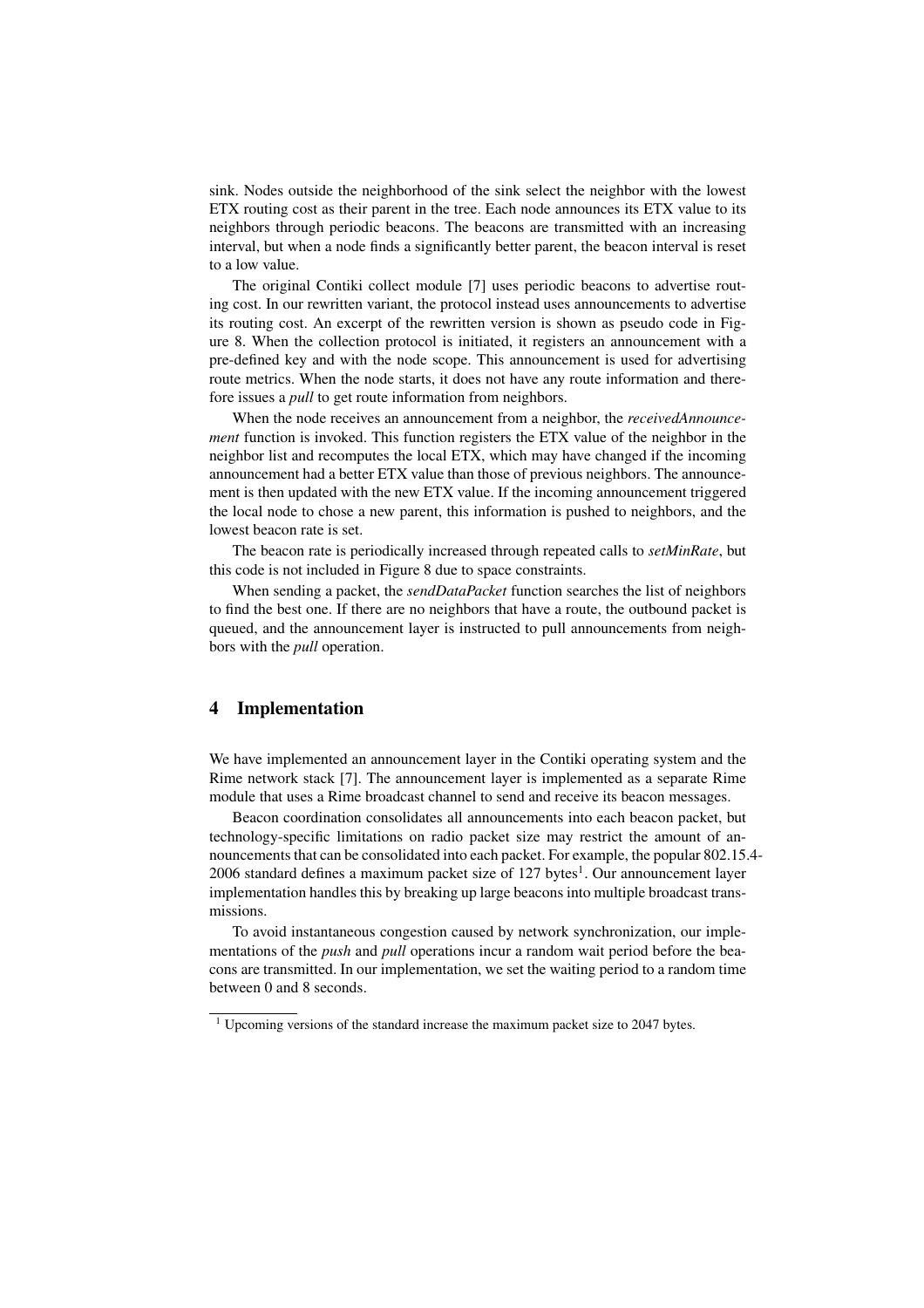sink. Nodes outside the neighborhood of the sink select the neighbor with the lowest ETX routing cost as their parent in the tree. Each node announces its ETX value to its neighbors through periodic beacons. The beacons are transmitted with an increasing interval, but when a node finds a significantly better parent, the beacon interval is reset to a low value.

The original Contiki collect module [7] uses periodic beacons to advertise routing cost. In our rewritten variant, the protocol instead uses announcements to advertise its routing cost. An excerpt of the rewritten version is shown as pseudo code in Figure 8. When the collection protocol is initiated, it registers an announcement with a pre-defined key and with the node scope. This announcement is used for advertising route metrics. When the node starts, it does not have any route information and therefore issues a *pull* to get route information from neighbors.

When the node receives an announcement from a neighbor, the *receivedAnnouncement* function is invoked. This function registers the ETX value of the neighbor in the neighbor list and recomputes the local ETX, which may have changed if the incoming announcement had a better ETX value than those of previous neighbors. The announcement is then updated with the new ETX value. If the incoming announcement triggered the local node to chose a new parent, this information is pushed to neighbors, and the lowest beacon rate is set.

The beacon rate is periodically increased through repeated calls to *setMinRate*, but this code is not included in Figure 8 due to space constraints.

When sending a packet, the *sendDataPacket* function searches the list of neighbors to find the best one. If there are no neighbors that have a route, the outbound packet is queued, and the announcement layer is instructed to pull announcements from neighbors with the *pull* operation.

# 4 Implementation

We have implemented an announcement layer in the Contiki operating system and the Rime network stack [7]. The announcement layer is implemented as a separate Rime module that uses a Rime broadcast channel to send and receive its beacon messages.

Beacon coordination consolidates all announcements into each beacon packet, but technology-specific limitations on radio packet size may restrict the amount of announcements that can be consolidated into each packet. For example, the popular 802.15.4- 2006 standard defines a maximum packet size of  $127$  bytes<sup>1</sup>. Our announcement layer implementation handles this by breaking up large beacons into multiple broadcast transmissions.

To avoid instantaneous congestion caused by network synchronization, our implementations of the *push* and *pull* operations incur a random wait period before the beacons are transmitted. In our implementation, we set the waiting period to a random time between 0 and 8 seconds.

 $1$  Upcoming versions of the standard increase the maximum packet size to 2047 bytes.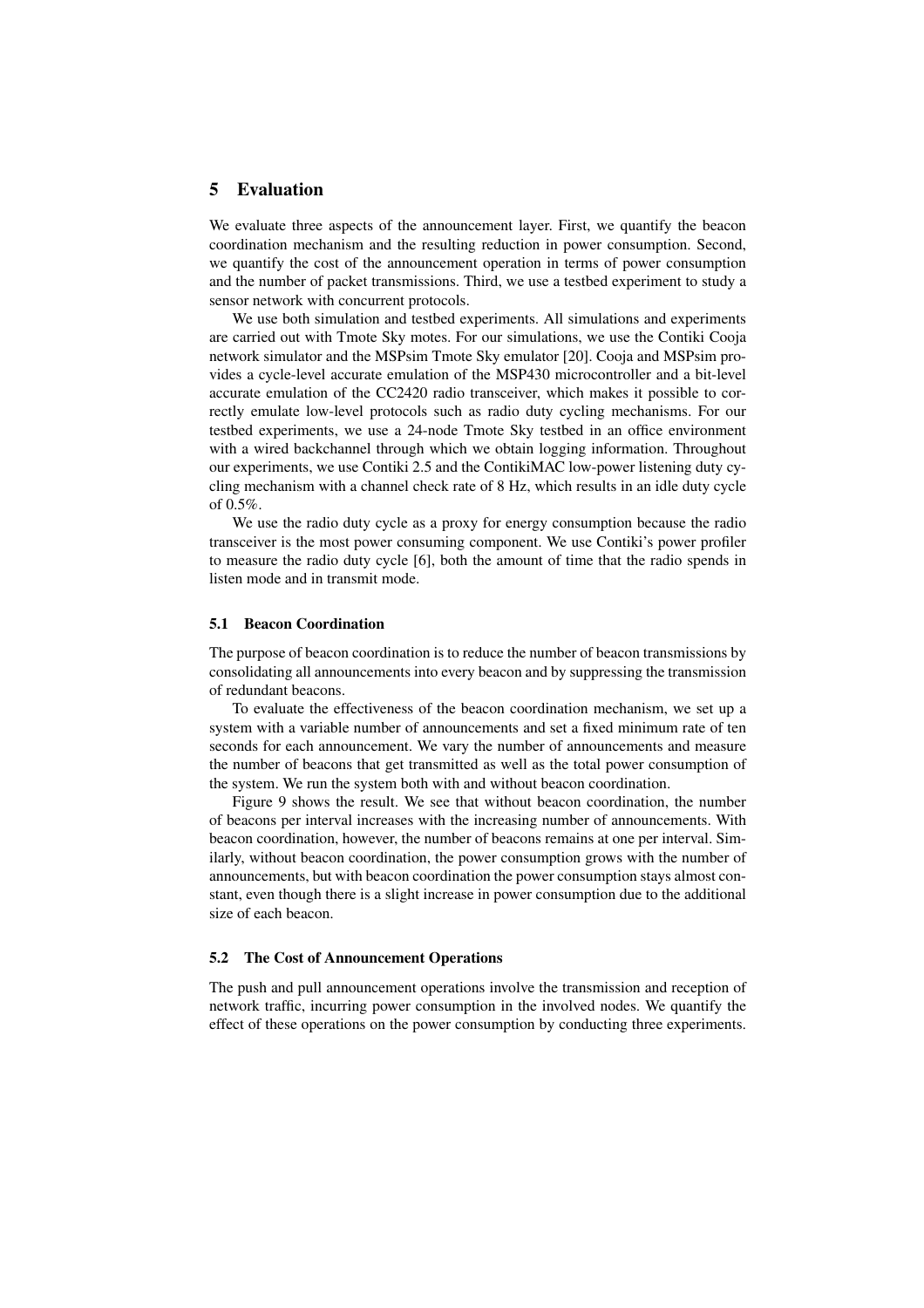# 5 Evaluation

We evaluate three aspects of the announcement layer. First, we quantify the beacon coordination mechanism and the resulting reduction in power consumption. Second, we quantify the cost of the announcement operation in terms of power consumption and the number of packet transmissions. Third, we use a testbed experiment to study a sensor network with concurrent protocols.

We use both simulation and testbed experiments. All simulations and experiments are carried out with Tmote Sky motes. For our simulations, we use the Contiki Cooja network simulator and the MSPsim Tmote Sky emulator [20]. Cooja and MSPsim provides a cycle-level accurate emulation of the MSP430 microcontroller and a bit-level accurate emulation of the CC2420 radio transceiver, which makes it possible to correctly emulate low-level protocols such as radio duty cycling mechanisms. For our testbed experiments, we use a 24-node Tmote Sky testbed in an office environment with a wired backchannel through which we obtain logging information. Throughout our experiments, we use Contiki 2.5 and the ContikiMAC low-power listening duty cycling mechanism with a channel check rate of 8 Hz, which results in an idle duty cycle of 0.5%.

We use the radio duty cycle as a proxy for energy consumption because the radio transceiver is the most power consuming component. We use Contiki's power profiler to measure the radio duty cycle [6], both the amount of time that the radio spends in listen mode and in transmit mode.

#### 5.1 Beacon Coordination

The purpose of beacon coordination is to reduce the number of beacon transmissions by consolidating all announcements into every beacon and by suppressing the transmission of redundant beacons.

To evaluate the effectiveness of the beacon coordination mechanism, we set up a system with a variable number of announcements and set a fixed minimum rate of ten seconds for each announcement. We vary the number of announcements and measure the number of beacons that get transmitted as well as the total power consumption of the system. We run the system both with and without beacon coordination.

Figure 9 shows the result. We see that without beacon coordination, the number of beacons per interval increases with the increasing number of announcements. With beacon coordination, however, the number of beacons remains at one per interval. Similarly, without beacon coordination, the power consumption grows with the number of announcements, but with beacon coordination the power consumption stays almost constant, even though there is a slight increase in power consumption due to the additional size of each beacon.

#### 5.2 The Cost of Announcement Operations

The push and pull announcement operations involve the transmission and reception of network traffic, incurring power consumption in the involved nodes. We quantify the effect of these operations on the power consumption by conducting three experiments.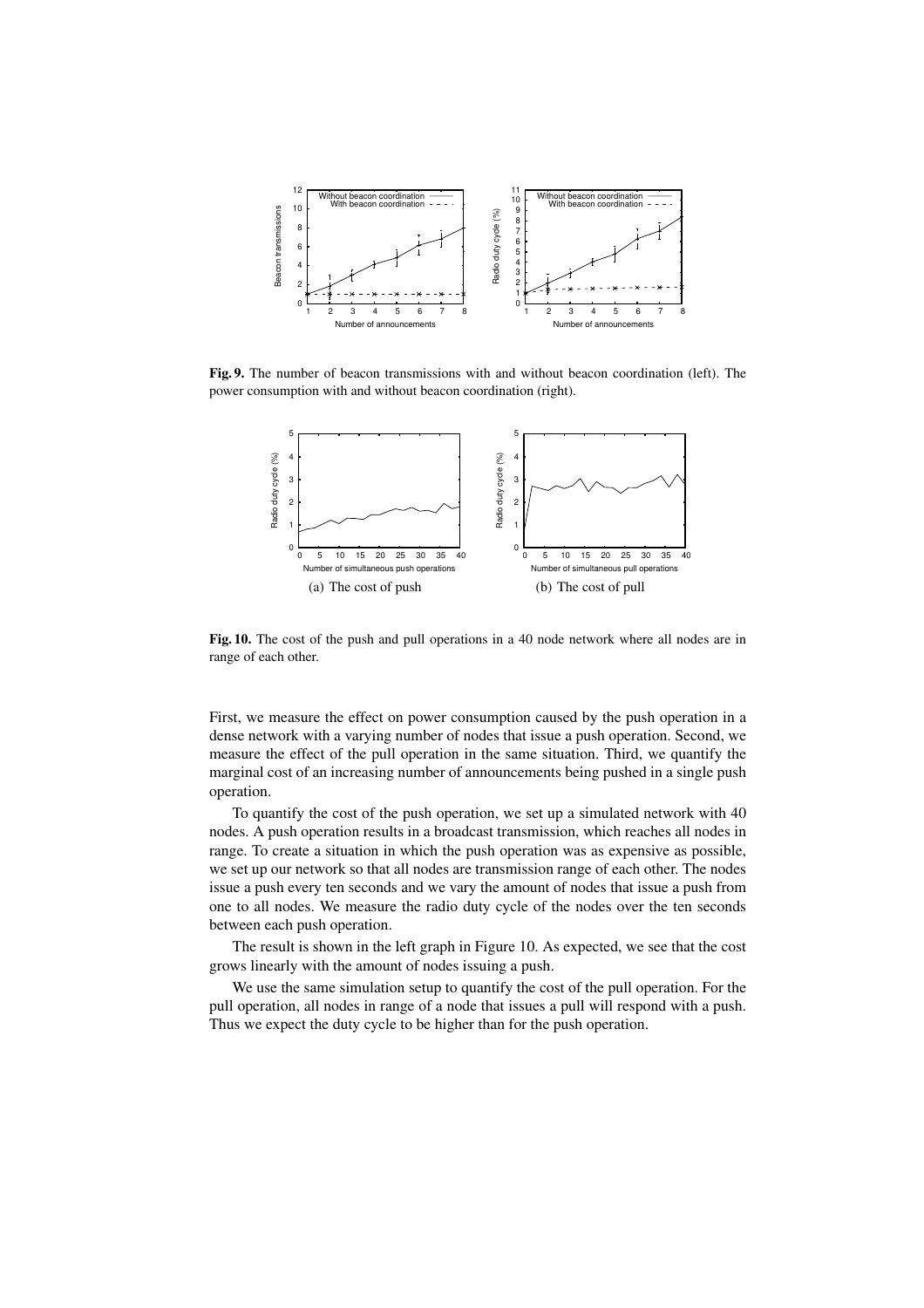

Fig. 9. The number of beacon transmissions with and without beacon coordination (left). The power consumption with and without beacon coordination (right).



Fig. 10. The cost of the push and pull operations in a 40 node network where all nodes are in range of each other.

First, we measure the effect on power consumption caused by the push operation in a dense network with a varying number of nodes that issue a push operation. Second, we measure the effect of the pull operation in the same situation. Third, we quantify the marginal cost of an increasing number of announcements being pushed in a single push operation.

To quantify the cost of the push operation, we set up a simulated network with 40 nodes. A push operation results in a broadcast transmission, which reaches all nodes in range. To create a situation in which the push operation was as expensive as possible, we set up our network so that all nodes are transmission range of each other. The nodes issue a push every ten seconds and we vary the amount of nodes that issue a push from one to all nodes. We measure the radio duty cycle of the nodes over the ten seconds between each push operation.

The result is shown in the left graph in Figure 10. As expected, we see that the cost grows linearly with the amount of nodes issuing a push.

We use the same simulation setup to quantify the cost of the pull operation. For the pull operation, all nodes in range of a node that issues a pull will respond with a push. Thus we expect the duty cycle to be higher than for the push operation.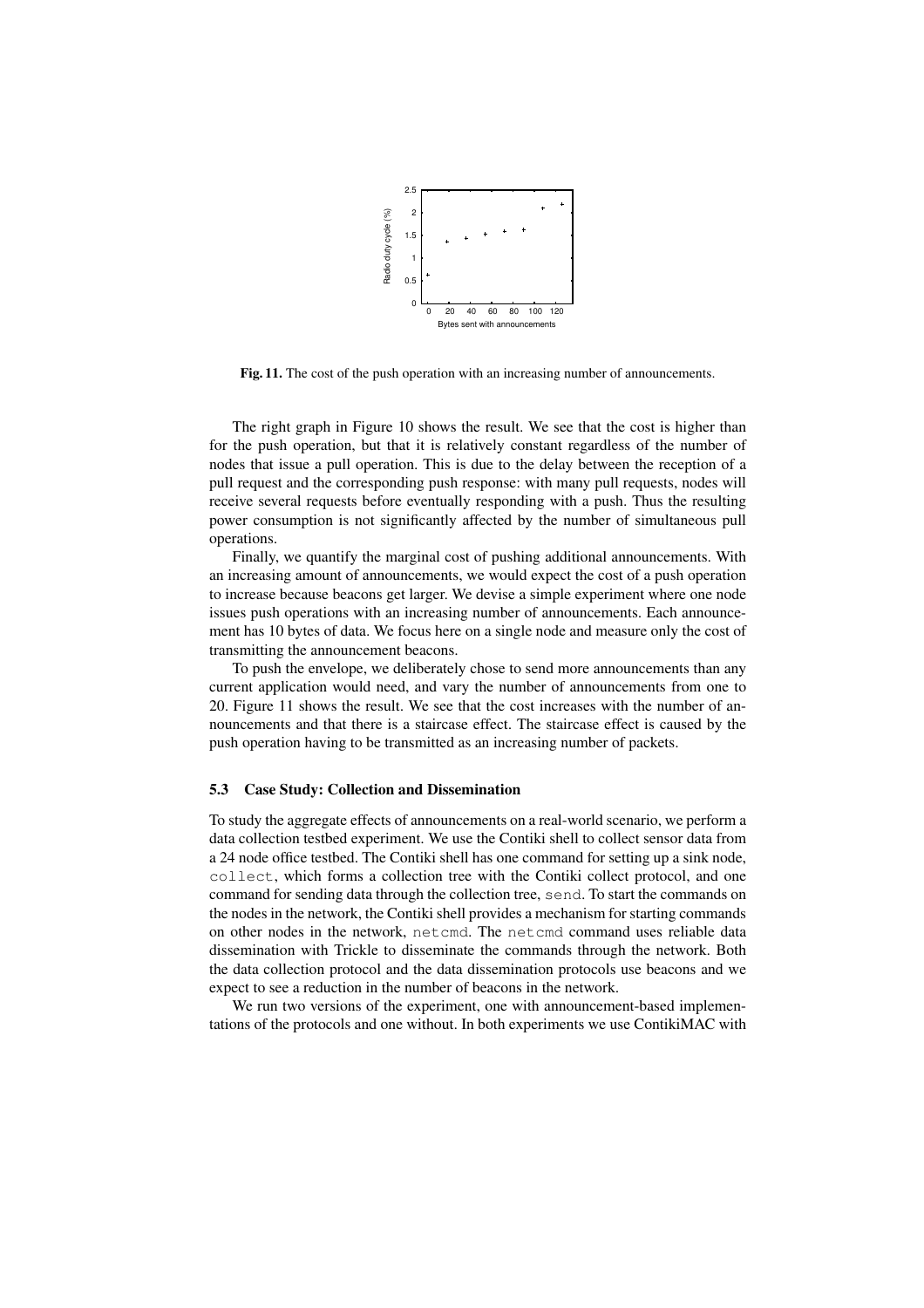

Fig. 11. The cost of the push operation with an increasing number of announcements.

The right graph in Figure 10 shows the result. We see that the cost is higher than for the push operation, but that it is relatively constant regardless of the number of nodes that issue a pull operation. This is due to the delay between the reception of a pull request and the corresponding push response: with many pull requests, nodes will receive several requests before eventually responding with a push. Thus the resulting power consumption is not significantly affected by the number of simultaneous pull operations.

Finally, we quantify the marginal cost of pushing additional announcements. With an increasing amount of announcements, we would expect the cost of a push operation to increase because beacons get larger. We devise a simple experiment where one node issues push operations with an increasing number of announcements. Each announcement has 10 bytes of data. We focus here on a single node and measure only the cost of transmitting the announcement beacons.

To push the envelope, we deliberately chose to send more announcements than any current application would need, and vary the number of announcements from one to 20. Figure 11 shows the result. We see that the cost increases with the number of announcements and that there is a staircase effect. The staircase effect is caused by the push operation having to be transmitted as an increasing number of packets.

### 5.3 Case Study: Collection and Dissemination

To study the aggregate effects of announcements on a real-world scenario, we perform a data collection testbed experiment. We use the Contiki shell to collect sensor data from a 24 node office testbed. The Contiki shell has one command for setting up a sink node, collect, which forms a collection tree with the Contiki collect protocol, and one command for sending data through the collection tree, send. To start the commands on the nodes in the network, the Contiki shell provides a mechanism for starting commands on other nodes in the network, netcmd. The netcmd command uses reliable data dissemination with Trickle to disseminate the commands through the network. Both the data collection protocol and the data dissemination protocols use beacons and we expect to see a reduction in the number of beacons in the network.

We run two versions of the experiment, one with announcement-based implementations of the protocols and one without. In both experiments we use ContikiMAC with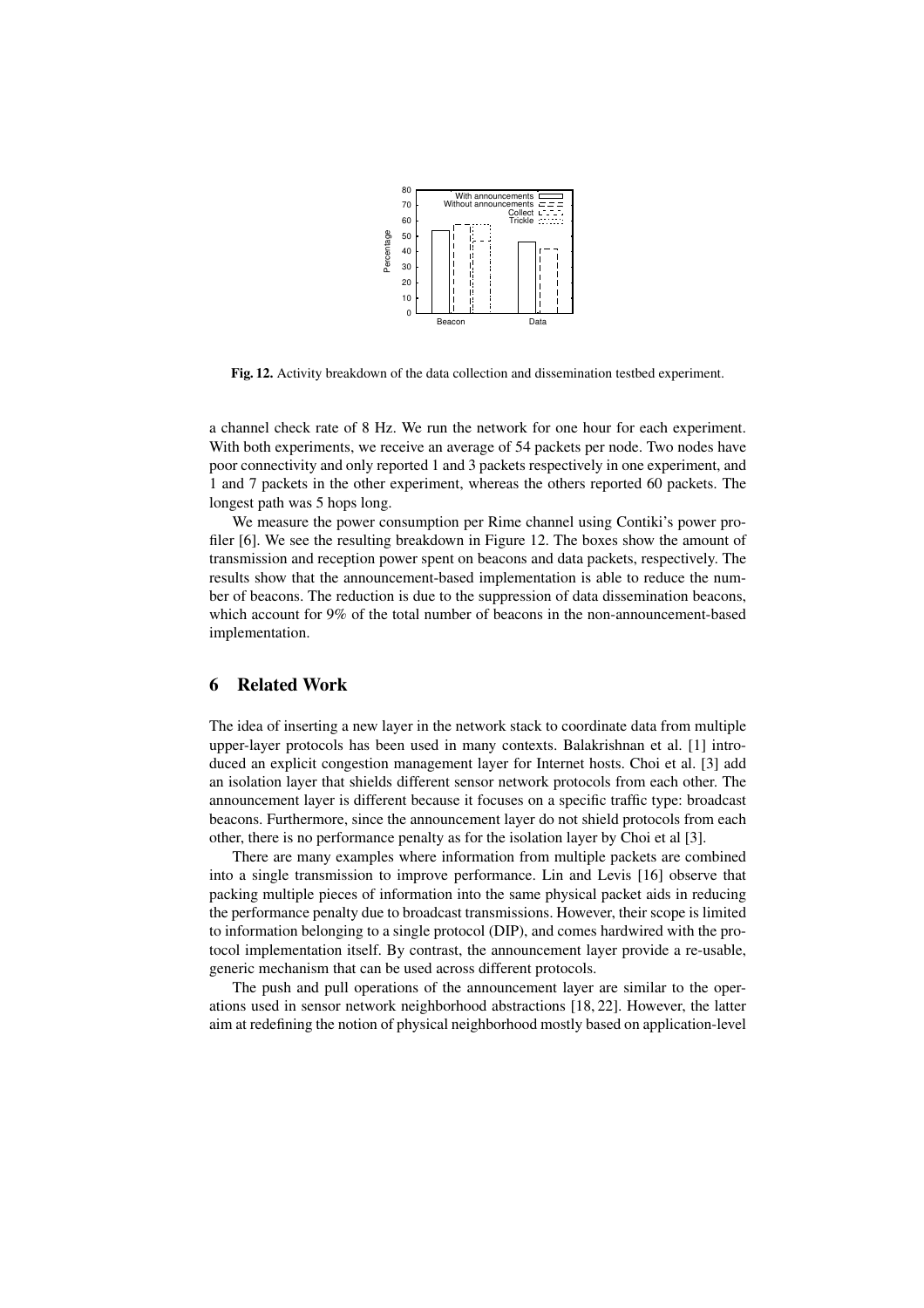

Fig. 12. Activity breakdown of the data collection and dissemination testbed experiment.

a channel check rate of 8 Hz. We run the network for one hour for each experiment. With both experiments, we receive an average of 54 packets per node. Two nodes have poor connectivity and only reported 1 and 3 packets respectively in one experiment, and 1 and 7 packets in the other experiment, whereas the others reported 60 packets. The longest path was 5 hops long.

We measure the power consumption per Rime channel using Contiki's power profiler [6]. We see the resulting breakdown in Figure 12. The boxes show the amount of transmission and reception power spent on beacons and data packets, respectively. The results show that the announcement-based implementation is able to reduce the number of beacons. The reduction is due to the suppression of data dissemination beacons, which account for 9% of the total number of beacons in the non-announcement-based implementation.

## 6 Related Work

The idea of inserting a new layer in the network stack to coordinate data from multiple upper-layer protocols has been used in many contexts. Balakrishnan et al. [1] introduced an explicit congestion management layer for Internet hosts. Choi et al. [3] add an isolation layer that shields different sensor network protocols from each other. The announcement layer is different because it focuses on a specific traffic type: broadcast beacons. Furthermore, since the announcement layer do not shield protocols from each other, there is no performance penalty as for the isolation layer by Choi et al [3].

There are many examples where information from multiple packets are combined into a single transmission to improve performance. Lin and Levis [16] observe that packing multiple pieces of information into the same physical packet aids in reducing the performance penalty due to broadcast transmissions. However, their scope is limited to information belonging to a single protocol (DIP), and comes hardwired with the protocol implementation itself. By contrast, the announcement layer provide a re-usable, generic mechanism that can be used across different protocols.

The push and pull operations of the announcement layer are similar to the operations used in sensor network neighborhood abstractions [18, 22]. However, the latter aim at redefining the notion of physical neighborhood mostly based on application-level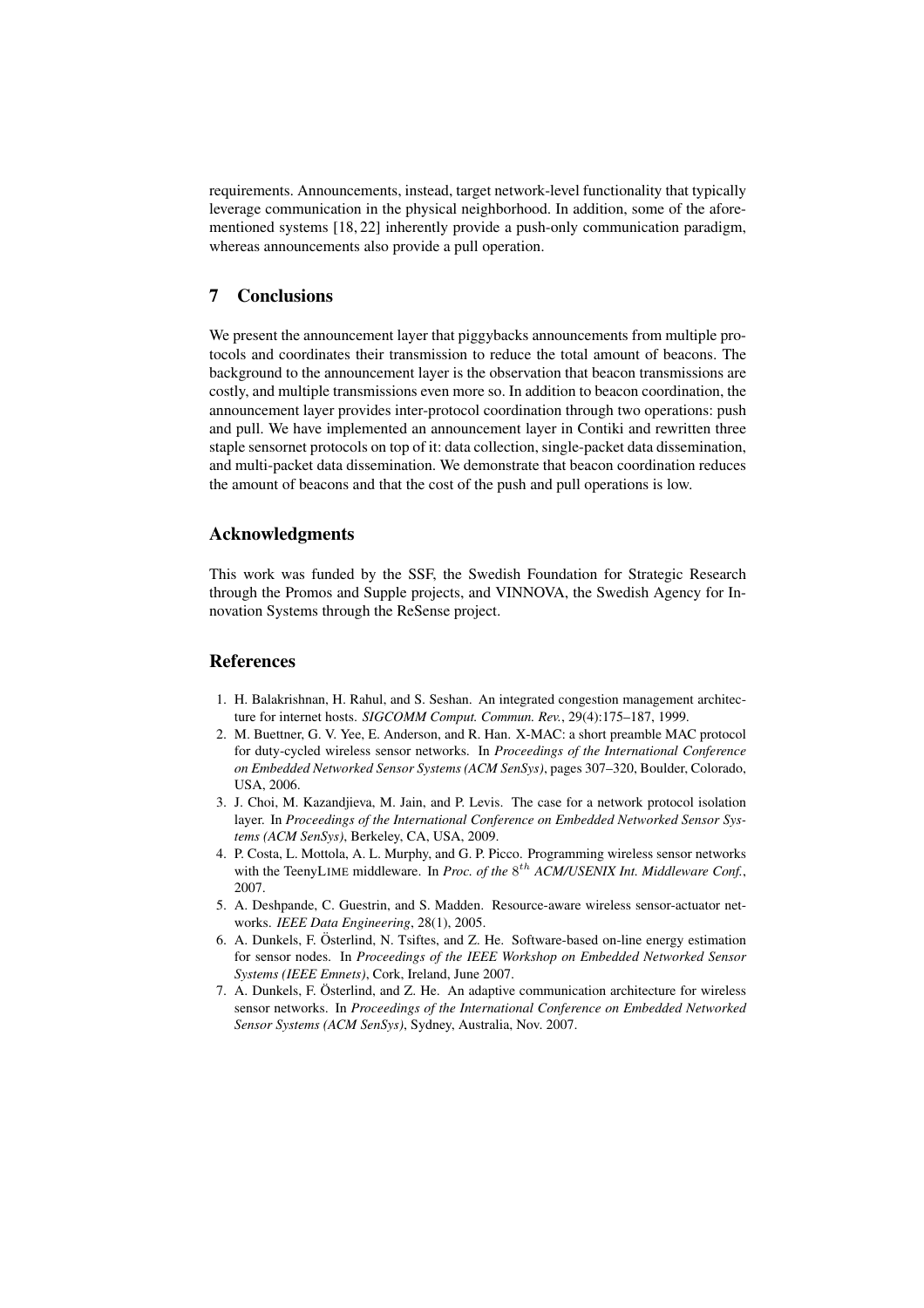requirements. Announcements, instead, target network-level functionality that typically leverage communication in the physical neighborhood. In addition, some of the aforementioned systems [18, 22] inherently provide a push-only communication paradigm, whereas announcements also provide a pull operation.

# 7 Conclusions

We present the announcement layer that piggybacks announcements from multiple protocols and coordinates their transmission to reduce the total amount of beacons. The background to the announcement layer is the observation that beacon transmissions are costly, and multiple transmissions even more so. In addition to beacon coordination, the announcement layer provides inter-protocol coordination through two operations: push and pull. We have implemented an announcement layer in Contiki and rewritten three staple sensornet protocols on top of it: data collection, single-packet data dissemination, and multi-packet data dissemination. We demonstrate that beacon coordination reduces the amount of beacons and that the cost of the push and pull operations is low.

## Acknowledgments

This work was funded by the SSF, the Swedish Foundation for Strategic Research through the Promos and Supple projects, and VINNOVA, the Swedish Agency for Innovation Systems through the ReSense project.

#### **References**

- 1. H. Balakrishnan, H. Rahul, and S. Seshan. An integrated congestion management architecture for internet hosts. *SIGCOMM Comput. Commun. Rev.*, 29(4):175–187, 1999.
- 2. M. Buettner, G. V. Yee, E. Anderson, and R. Han. X-MAC: a short preamble MAC protocol for duty-cycled wireless sensor networks. In *Proceedings of the International Conference on Embedded Networked Sensor Systems (ACM SenSys)*, pages 307–320, Boulder, Colorado, USA, 2006.
- 3. J. Choi, M. Kazandjieva, M. Jain, and P. Levis. The case for a network protocol isolation layer. In *Proceedings of the International Conference on Embedded Networked Sensor Systems (ACM SenSys)*, Berkeley, CA, USA, 2009.
- 4. P. Costa, L. Mottola, A. L. Murphy, and G. P. Picco. Programming wireless sensor networks with the TeenyLIME middleware. In *Proc. of the* 8<sup>th</sup> *ACM/USENIX Int. Middleware Conf.*, 2007.
- 5. A. Deshpande, C. Guestrin, and S. Madden. Resource-aware wireless sensor-actuator networks. *IEEE Data Engineering*, 28(1), 2005.
- 6. A. Dunkels, F. Österlind, N. Tsiftes, and Z. He. Software-based on-line energy estimation for sensor nodes. In *Proceedings of the IEEE Workshop on Embedded Networked Sensor Systems (IEEE Emnets)*, Cork, Ireland, June 2007.
- 7. A. Dunkels, F. Österlind, and Z. He. An adaptive communication architecture for wireless sensor networks. In *Proceedings of the International Conference on Embedded Networked Sensor Systems (ACM SenSys)*, Sydney, Australia, Nov. 2007.